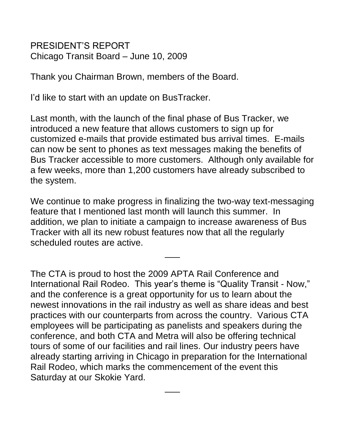PRESIDENT'S REPORT Chicago Transit Board – June 10, 2009

Thank you Chairman Brown, members of the Board.

I'd like to start with an update on BusTracker.

Last month, with the launch of the final phase of Bus Tracker, we introduced a new feature that allows customers to sign up for customized e-mails that provide estimated bus arrival times. E-mails can now be sent to phones as text messages making the benefits of Bus Tracker accessible to more customers. Although only available for a few weeks, more than 1,200 customers have already subscribed to the system.

We continue to make progress in finalizing the two-way text-messaging feature that I mentioned last month will launch this summer. In addition, we plan to initiate a campaign to increase awareness of Bus Tracker with all its new robust features now that all the regularly scheduled routes are active.

\_\_\_

The CTA is proud to host the 2009 APTA Rail Conference and International Rail Rodeo. This year's theme is "Quality Transit - Now," and the conference is a great opportunity for us to learn about the newest innovations in the rail industry as well as share ideas and best practices with our counterparts from across the country. Various CTA employees will be participating as panelists and speakers during the conference, and both CTA and Metra will also be offering technical tours of some of our facilities and rail lines. Our industry peers have already starting arriving in Chicago in preparation for the International Rail Rodeo, which marks the commencement of the event this Saturday at our Skokie Yard.

\_\_\_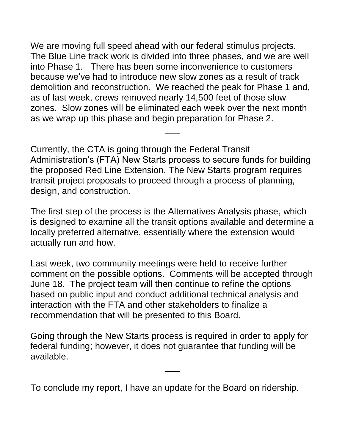We are moving full speed ahead with our federal stimulus projects. The Blue Line track work is divided into three phases, and we are well into Phase 1. There has been some inconvenience to customers because we've had to introduce new slow zones as a result of track demolition and reconstruction. We reached the peak for Phase 1 and, as of last week, crews removed nearly 14,500 feet of those slow zones. Slow zones will be eliminated each week over the next month as we wrap up this phase and begin preparation for Phase 2.

Currently, the CTA is going through the Federal Transit Administration's (FTA) New Starts process to secure funds for building the proposed Red Line Extension. The New Starts program requires transit project proposals to proceed through a process of planning, design, and construction.

\_\_\_

The first step of the process is the Alternatives Analysis phase, which is designed to examine all the transit options available and determine a locally preferred alternative, essentially where the extension would actually run and how.

Last week, two community meetings were held to receive further comment on the possible options. Comments will be accepted through June 18. The project team will then continue to refine the options based on public input and conduct additional technical analysis and interaction with the FTA and other stakeholders to finalize a recommendation that will be presented to this Board.

Going through the New Starts process is required in order to apply for federal funding; however, it does not guarantee that funding will be available.

\_\_\_

To conclude my report, I have an update for the Board on ridership.